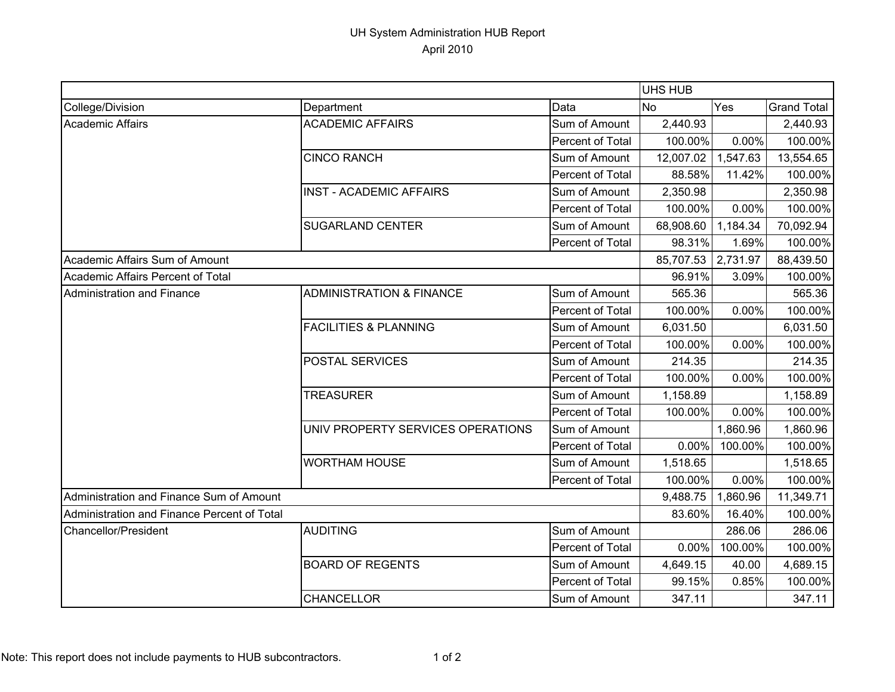## UH System Administration HUB Report April 2010

|                                             |                                     |                  | <b>UHS HUB</b> |          |                    |
|---------------------------------------------|-------------------------------------|------------------|----------------|----------|--------------------|
| College/Division                            | Department                          | Data             | <b>No</b>      | Yes      | <b>Grand Total</b> |
| Academic Affairs                            | <b>ACADEMIC AFFAIRS</b>             | Sum of Amount    | 2,440.93       |          | 2,440.93           |
|                                             |                                     | Percent of Total | 100.00%        | 0.00%    | 100.00%            |
|                                             | <b>CINCO RANCH</b>                  | Sum of Amount    | 12,007.02      | 1,547.63 | 13,554.65          |
|                                             |                                     | Percent of Total | 88.58%         | 11.42%   | 100.00%            |
|                                             | <b>INST - ACADEMIC AFFAIRS</b>      | Sum of Amount    | 2,350.98       |          | 2,350.98           |
|                                             |                                     | Percent of Total | 100.00%        | 0.00%    | 100.00%            |
|                                             | <b>SUGARLAND CENTER</b>             | Sum of Amount    | 68,908.60      | 1,184.34 | 70,092.94          |
|                                             |                                     | Percent of Total | 98.31%         | 1.69%    | 100.00%            |
| Academic Affairs Sum of Amount              |                                     |                  | 85,707.53      | 2,731.97 | 88,439.50          |
| Academic Affairs Percent of Total           |                                     |                  | 96.91%         | 3.09%    | 100.00%            |
| Administration and Finance                  | <b>ADMINISTRATION &amp; FINANCE</b> | Sum of Amount    | 565.36         |          | 565.36             |
|                                             |                                     | Percent of Total | 100.00%        | 0.00%    | 100.00%            |
|                                             | <b>FACILITIES &amp; PLANNING</b>    | Sum of Amount    | 6,031.50       |          | 6,031.50           |
|                                             |                                     | Percent of Total | 100.00%        | 0.00%    | 100.00%            |
|                                             | <b>POSTAL SERVICES</b>              | Sum of Amount    | 214.35         |          | 214.35             |
|                                             |                                     | Percent of Total | 100.00%        | 0.00%    | 100.00%            |
|                                             | <b>TREASURER</b>                    | Sum of Amount    | 1,158.89       |          | 1,158.89           |
|                                             |                                     | Percent of Total | 100.00%        | 0.00%    | 100.00%            |
|                                             | UNIV PROPERTY SERVICES OPERATIONS   | Sum of Amount    |                | 1,860.96 | 1,860.96           |
|                                             |                                     | Percent of Total | 0.00%          | 100.00%  | 100.00%            |
|                                             | <b>WORTHAM HOUSE</b>                | Sum of Amount    | 1,518.65       |          | 1,518.65           |
|                                             |                                     | Percent of Total | 100.00%        | 0.00%    | 100.00%            |
| Administration and Finance Sum of Amount    |                                     |                  | 9,488.75       | 1,860.96 | 11,349.71          |
| Administration and Finance Percent of Total |                                     |                  | 83.60%         | 16.40%   | 100.00%            |
| <b>Chancellor/President</b>                 | AUDITING                            | Sum of Amount    |                | 286.06   | 286.06             |
|                                             |                                     | Percent of Total | 0.00%          | 100.00%  | 100.00%            |
|                                             | <b>BOARD OF REGENTS</b>             | Sum of Amount    | 4,649.15       | 40.00    | 4,689.15           |
|                                             |                                     | Percent of Total | 99.15%         | 0.85%    | 100.00%            |
|                                             | <b>CHANCELLOR</b>                   | Sum of Amount    | 347.11         |          | 347.11             |